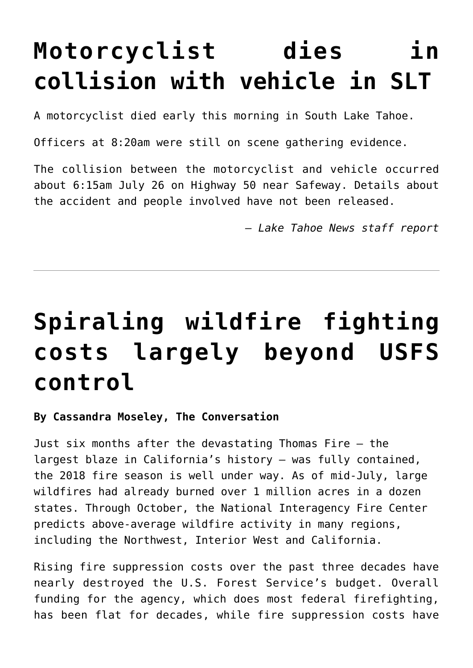# **[Motorcyclist dies in](https://www.laketahoenews.net/2018/07/motorcyclist-dies-in-collision-with-vehicle-in-slt/) [collision with vehicle in SLT](https://www.laketahoenews.net/2018/07/motorcyclist-dies-in-collision-with-vehicle-in-slt/)**

A motorcyclist died early this morning in South Lake Tahoe.

Officers at 8:20am were still on scene gathering evidence.

The collision between the motorcyclist and vehicle occurred about 6:15am July 26 on Highway 50 near Safeway. Details about the accident and people involved have not been released.

*— Lake Tahoe News staff report*

# **[Spiraling wildfire fighting](https://www.laketahoenews.net/2018/07/spiraling-wildfire-fighting-costs-largely-beyond-usfs-control/) [costs largely beyond USFS](https://www.laketahoenews.net/2018/07/spiraling-wildfire-fighting-costs-largely-beyond-usfs-control/) [control](https://www.laketahoenews.net/2018/07/spiraling-wildfire-fighting-costs-largely-beyond-usfs-control/)**

### **By Cassandra Moseley, The Conversation**

Just six months after the devastating Thomas Fire – the largest blaze in California's history – was fully contained, the 2018 fire season is well under way. As of mid-July, large wildfires had already burned over 1 million acres in a dozen states. Through October, the National Interagency Fire Center predicts above-average wildfire activity in many regions, including the Northwest, Interior West and California.

Rising fire suppression costs over the past three decades have nearly destroyed the U.S. Forest Service's budget. Overall funding for the agency, which does most federal firefighting, has been flat for decades, while fire suppression costs have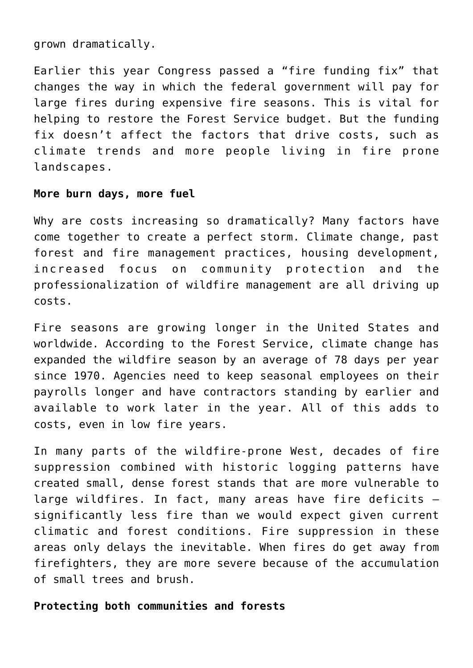grown dramatically.

Earlier this year Congress passed a "fire funding fix" that changes the way in which the federal government will pay for large fires during expensive fire seasons. This is vital for helping to restore the Forest Service budget. But the funding fix doesn't affect the factors that drive costs, such as climate trends and more people living in fire prone landscapes.

### **More burn days, more fuel**

Why are costs increasing so dramatically? Many factors have come together to create a perfect storm. Climate change, past forest and fire management practices, housing development, increased focus on community protection and the professionalization of wildfire management are all driving up costs.

Fire seasons are growing longer in the United States and worldwide. According to the Forest Service, climate change has expanded the wildfire season by an average of 78 days per year since 1970. Agencies need to keep seasonal employees on their payrolls longer and have contractors standing by earlier and available to work later in the year. All of this adds to costs, even in low fire years.

In many parts of the wildfire-prone West, decades of fire suppression combined with historic logging patterns have created small, dense forest stands that are more vulnerable to large wildfires. In fact, many areas have fire deficits – significantly less fire than we would expect given current climatic and forest conditions. Fire suppression in these areas only delays the inevitable. When fires do get away from firefighters, they are more severe because of the accumulation of small trees and brush.

#### **Protecting both communities and forests**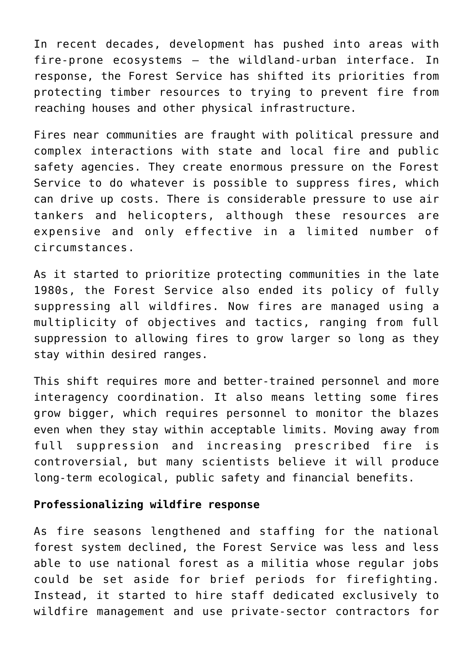In recent decades, development has pushed into areas with fire-prone ecosystems – the wildland-urban interface. In response, the Forest Service has shifted its priorities from protecting timber resources to trying to prevent fire from reaching houses and other physical infrastructure.

Fires near communities are fraught with political pressure and complex interactions with state and local fire and public safety agencies. They create enormous pressure on the Forest Service to do whatever is possible to suppress fires, which can drive up costs. There is considerable pressure to use air tankers and helicopters, although these resources are expensive and only effective in a limited number of circumstances.

As it started to prioritize protecting communities in the late 1980s, the Forest Service also ended its policy of fully suppressing all wildfires. Now fires are managed using a multiplicity of objectives and tactics, ranging from full suppression to allowing fires to grow larger so long as they stay within desired ranges.

This shift requires more and better-trained personnel and more interagency coordination. It also means letting some fires grow bigger, which requires personnel to monitor the blazes even when they stay within acceptable limits. Moving away from full suppression and increasing prescribed fire is controversial, but many scientists believe it will produce long-term ecological, public safety and financial benefits.

#### **Professionalizing wildfire response**

As fire seasons lengthened and staffing for the national forest system declined, the Forest Service was less and less able to use national forest as a militia whose regular jobs could be set aside for brief periods for firefighting. Instead, it started to hire staff dedicated exclusively to wildfire management and use private-sector contractors for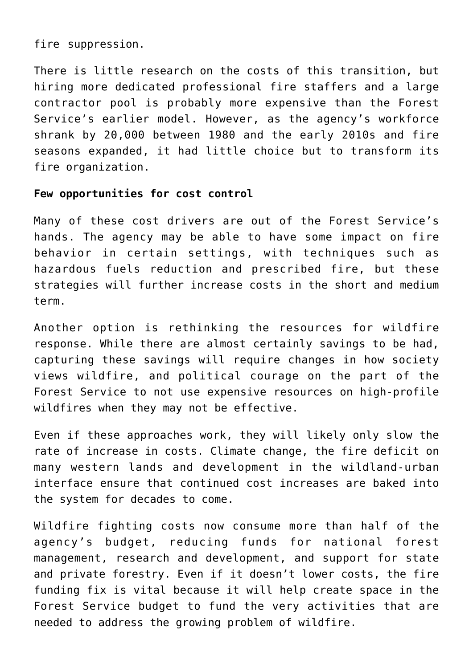fire suppression.

There is little research on the costs of this transition, but hiring more dedicated professional fire staffers and a large contractor pool is probably more expensive than the Forest Service's earlier model. However, as the agency's workforce shrank by 20,000 between 1980 and the early 2010s and fire seasons expanded, it had little choice but to transform its fire organization.

#### **Few opportunities for cost control**

Many of these cost drivers are out of the Forest Service's hands. The agency may be able to have some impact on fire behavior in certain settings, with techniques such as hazardous fuels reduction and prescribed fire, but these strategies will further increase costs in the short and medium term.

Another option is rethinking the resources for wildfire response. While there are almost certainly savings to be had, capturing these savings will require changes in how society views wildfire, and political courage on the part of the Forest Service to not use expensive resources on high-profile wildfires when they may not be effective.

Even if these approaches work, they will likely only slow the rate of increase in costs. Climate change, the fire deficit on many western lands and development in the wildland-urban interface ensure that continued cost increases are baked into the system for decades to come.

Wildfire fighting costs now consume more than half of the agency's budget, reducing funds for national forest management, research and development, and support for state and private forestry. Even if it doesn't lower costs, the fire funding fix is vital because it will help create space in the Forest Service budget to fund the very activities that are needed to address the growing problem of wildfire.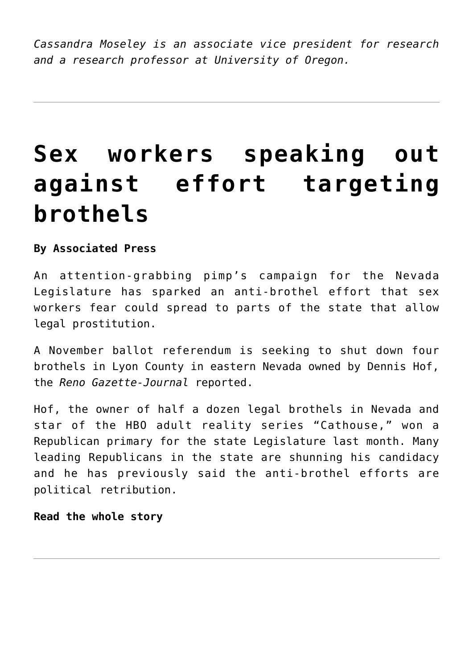*Cassandra Moseley is an associate vice president for research and a research professor at University of Oregon.*

# **[Sex workers speaking out](https://www.laketahoenews.net/2018/07/sex-workers-speaking-out-against-effort-targeting-brothels/) [against effort targeting](https://www.laketahoenews.net/2018/07/sex-workers-speaking-out-against-effort-targeting-brothels/) [brothels](https://www.laketahoenews.net/2018/07/sex-workers-speaking-out-against-effort-targeting-brothels/)**

**By Associated Press**

An attention-grabbing pimp's campaign for the Nevada Legislature has sparked an anti-brothel effort that sex workers fear could spread to parts of the state that allow legal prostitution.

A November ballot referendum is seeking to shut down four brothels in Lyon County in eastern Nevada owned by Dennis Hof, the *Reno Gazette-Journal* reported.

Hof, the owner of half a dozen legal brothels in Nevada and star of the HBO adult reality series "Cathouse," won a Republican primary for the state Legislature last month. Many leading Republicans in the state are shunning his candidacy and he has previously said the anti-brothel efforts are political retribution.

**[Read the whole story](https://www.sacbee.com/news/politics-government/national-politics/article215296445.html)**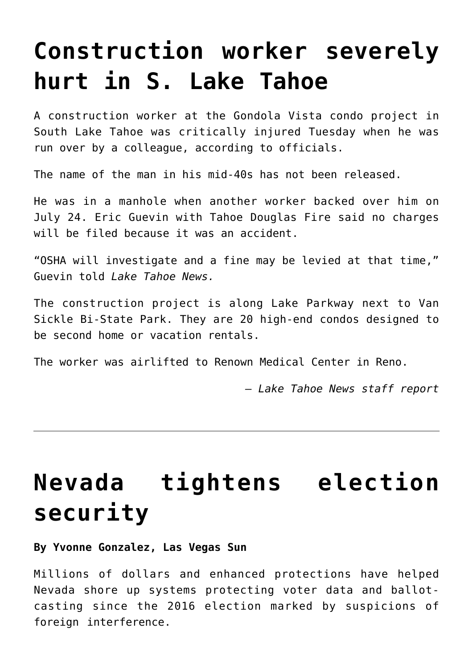## **[Construction worker severely](https://www.laketahoenews.net/2018/07/construction-worker-severely-hurt-in-s-lake-tahoe/) [hurt in S. Lake Tahoe](https://www.laketahoenews.net/2018/07/construction-worker-severely-hurt-in-s-lake-tahoe/)**

A construction worker at the Gondola Vista condo project in South Lake Tahoe was critically injured Tuesday when he was run over by a colleague, according to officials.

The name of the man in his mid-40s has not been released.

He was in a manhole when another worker backed over him on July 24. Eric Guevin with Tahoe Douglas Fire said no charges will be filed because it was an accident.

"OSHA will investigate and a fine may be levied at that time," Guevin told *Lake Tahoe News.*

The construction project is along Lake Parkway next to Van Sickle Bi-State Park. They are 20 high-end condos designed to be second home or vacation rentals.

The worker was airlifted to Renown Medical Center in Reno.

*— Lake Tahoe News staff report*

# **[Nevada tightens election](https://www.laketahoenews.net/2018/07/nevada-tightens-election-security/) [security](https://www.laketahoenews.net/2018/07/nevada-tightens-election-security/)**

#### **By Yvonne Gonzalez, Las Vegas Sun**

Millions of dollars and enhanced protections have helped Nevada shore up systems protecting voter data and ballotcasting since the 2016 election marked by suspicions of foreign interference.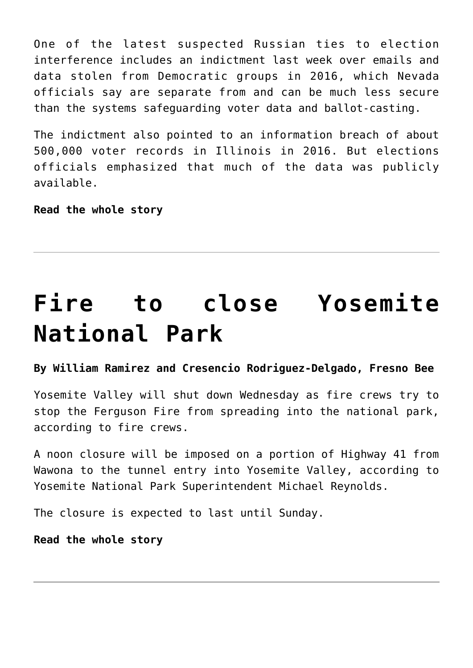One of the latest suspected Russian ties to election interference includes an indictment last week over emails and data stolen from Democratic groups in 2016, which Nevada officials say are separate from and can be much less secure than the systems safeguarding voter data and ballot-casting.

The indictment also pointed to an information breach of about 500,000 voter records in Illinois in 2016. But elections officials emphasized that much of the data was publicly available.

**[Read the whole story](https://lasvegassun.com/news/2018/jul/20/nevada-tightens-election-security-in-years-after-t/)**

# **[Fire to close Yosemite](https://www.laketahoenews.net/2018/07/fire-to-close-yosemite-national-park/) [National Park](https://www.laketahoenews.net/2018/07/fire-to-close-yosemite-national-park/)**

### **By William Ramirez and Cresencio Rodriguez-Delgado, Fresno Bee**

Yosemite Valley will shut down Wednesday as fire crews try to stop the Ferguson Fire from spreading into the national park, according to fire crews.

A noon closure will be imposed on a portion of Highway 41 from Wawona to the tunnel entry into Yosemite Valley, according to Yosemite National Park Superintendent Michael Reynolds.

The closure is expected to last until Sunday.

**[Read the whole story](https://www.fresnobee.com/news/local/article215400735.html)**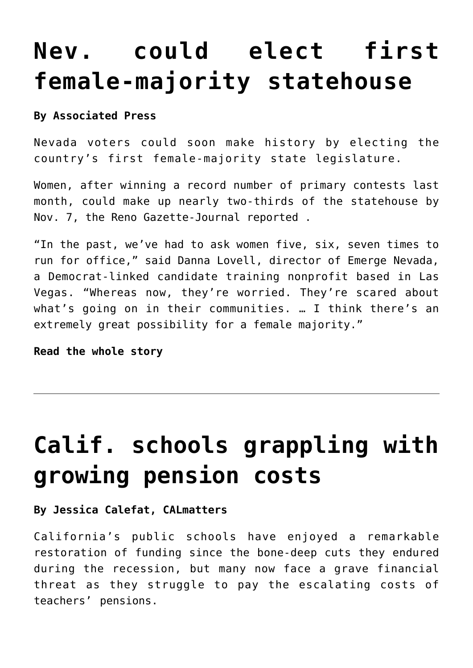### **[Nev. could elect first](https://www.laketahoenews.net/2018/07/nev-could-elect-first-female-majority-statehouse/) [female-majority statehouse](https://www.laketahoenews.net/2018/07/nev-could-elect-first-female-majority-statehouse/)**

### **By Associated Press**

Nevada voters could soon make history by electing the country's first female-majority state legislature.

Women, after winning a record number of primary contests last month, could make up nearly two-thirds of the statehouse by Nov. 7, the Reno Gazette-Journal reported .

"In the past, we've had to ask women five, six, seven times to run for office," said Danna Lovell, director of Emerge Nevada, a Democrat-linked candidate training nonprofit based in Las Vegas. "Whereas now, they're worried. They're scared about what's going on in their communities. … I think there's an extremely great possibility for a female majority."

**[Read the whole story](https://www.sacbee.com/news/politics-government/national-politics/article215383625.html)**

# **[Calif. schools grappling with](https://www.laketahoenews.net/2018/07/calif-schools-grappling-with-growing-pension-costs/) [growing pension costs](https://www.laketahoenews.net/2018/07/calif-schools-grappling-with-growing-pension-costs/)**

#### **By Jessica Calefat, CALmatters**

California's public schools have enjoyed a remarkable restoration of funding since the bone-deep cuts they endured during the recession, but many now face a grave financial threat as they struggle to pay the escalating costs of teachers' pensions.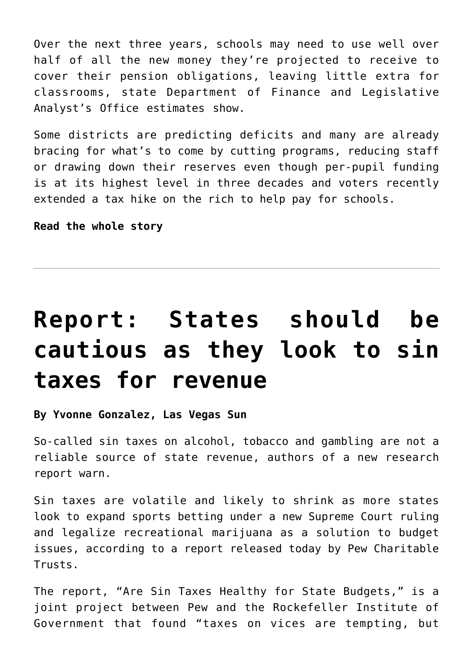Over the next three years, schools may need to use well over half of all the new money they're projected to receive to cover their pension obligations, leaving little extra for classrooms, state Department of Finance and Legislative Analyst's Office estimates show.

Some districts are predicting deficits and many are already bracing for what's to come by cutting programs, reducing staff or drawing down their reserves even though per-pupil funding is at its highest level in three decades and voters recently extended a tax hike on the rich to help pay for schools.

**[Read the whole story](https://www.eastbaytimes.com/2018/07/22/how-californias-public-schools-are-grappling-with-growing-pension-costs/?utm_campaign=socialflow&utm_source=twitter&utm_content=tw-EastBayTimes&utm_medium=social)**

# **[Report: States should be](https://www.laketahoenews.net/2018/07/report-states-should-be-cautious-as-they-look-to-sin-taxes-for-revenue/) [cautious as they look to sin](https://www.laketahoenews.net/2018/07/report-states-should-be-cautious-as-they-look-to-sin-taxes-for-revenue/) [taxes for revenue](https://www.laketahoenews.net/2018/07/report-states-should-be-cautious-as-they-look-to-sin-taxes-for-revenue/)**

**By Yvonne Gonzalez, Las Vegas Sun**

So-called sin taxes on alcohol, tobacco and gambling are not a reliable source of state revenue, authors of a new research report warn.

Sin taxes are volatile and likely to shrink as more states look to expand sports betting under a new Supreme Court ruling and legalize recreational marijuana as a solution to budget issues, according to a report released today by Pew Charitable Trusts.

The report, "Are Sin Taxes Healthy for State Budgets," is a joint project between Pew and the Rockefeller Institute of Government that found "taxes on vices are tempting, but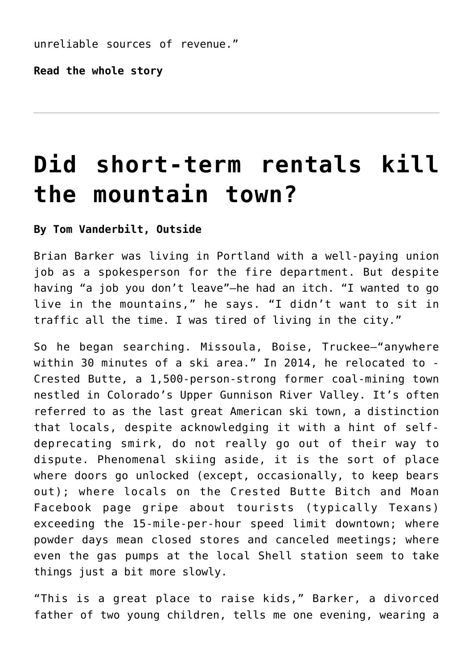unreliable sources of revenue."

**[Read the whole story](https://lasvegassun.com/news/2018/jul/19/report-states-should-be-cautious-as-they-look-to-s/?_ga=2.11615156.1477917875.1532020171-935347014.1520776353)**

# **[Did short-term rentals kill](https://www.laketahoenews.net/2018/07/did-short-term-rentals-kill-the-mountain-town/) [the mountain town?](https://www.laketahoenews.net/2018/07/did-short-term-rentals-kill-the-mountain-town/)**

#### **By Tom Vanderbilt, Outside**

Brian Barker was living in Portland with a well-paying union job as a spokesperson for the fire department. But despite having "a job you don't leave"—he had an itch. "I wanted to go live in the mountains," he says. "I didn't want to sit in traffic all the time. I was tired of living in the city."

So he began searching. Missoula, Boise, Truckee—"anywhere within 30 minutes of a ski area." In 2014, he relocated to - Crested Butte, a 1,500-person-strong former coal-mining town nestled in Colorado's Upper Gunnison River Valley. It's often referred to as the last great American ski town, a distinction that locals, despite acknowledging it with a hint of selfdeprecating smirk, do not really go out of their way to dispute. Phenomenal skiing aside, it is the sort of place where doors go unlocked (except, occasionally, to keep bears out); where locals on the Crested Butte Bitch and Moan Facebook page gripe about tourists (typically Texans) exceeding the 15-mile-per-hour speed limit downtown; where powder days mean closed stores and canceled meetings; where even the gas pumps at the local Shell station seem to take things just a bit more slowly.

"This is a great place to raise kids," Barker, a divorced father of two young children, tells me one evening, wearing a